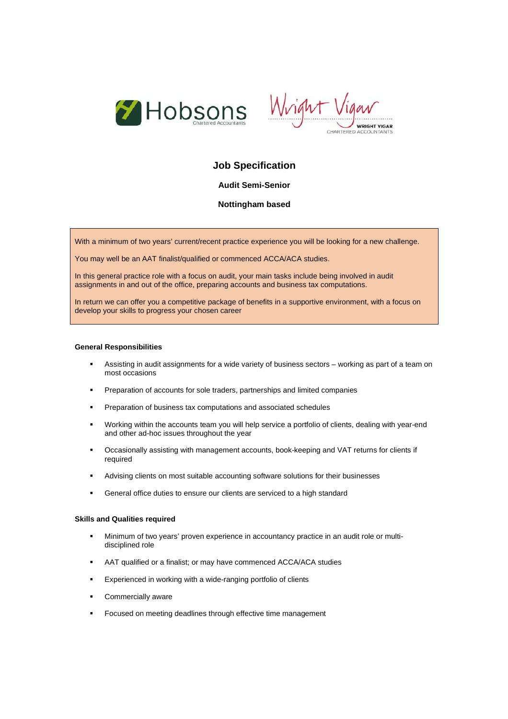



# **Job Specification**

# **Audit Semi-Senior**

# **Nottingham based**

With a minimum of two years' current/recent practice experience you will be looking for a new challenge.

You may well be an AAT finalist/qualified or commenced ACCA/ACA studies.

In this general practice role with a focus on audit, your main tasks include being involved in audit assignments in and out of the office, preparing accounts and business tax computations.

In return we can offer you a competitive package of benefits in a supportive environment, with a focus on develop your skills to progress your chosen career

#### **General Responsibilities**

- Assisting in audit assignments for a wide variety of business sectors working as part of a team on most occasions
- **Preparation of accounts for sole traders, partnerships and limited companies**
- **Preparation of business tax computations and associated schedules**
- Working within the accounts team you will help service a portfolio of clients, dealing with year-end and other ad-hoc issues throughout the year
- Occasionally assisting with management accounts, book-keeping and VAT returns for clients if required
- Advising clients on most suitable accounting software solutions for their businesses
- General office duties to ensure our clients are serviced to a high standard

## **Skills and Qualities required**

- Minimum of two years' proven experience in accountancy practice in an audit role or multidisciplined role
- AAT qualified or a finalist; or may have commenced ACCA/ACA studies
- **Experienced in working with a wide-ranging portfolio of clients**
- **Commercially aware**
- Focused on meeting deadlines through effective time management